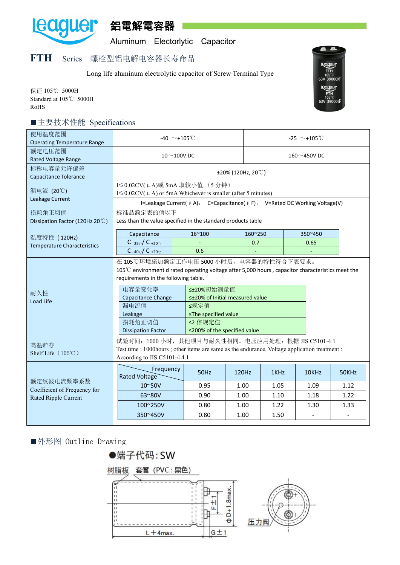

鋁電解電容器

Aluminum Electorlytic Capacitor

## **FTH** Series 螺栓型铝电解电容器长寿命品

Long life aluminum electrolytic capacitor of Screw Terminal Type



保证 105℃ 5000H Standard at 105℃ 5000H RoHS

## ■主要技术性能 Specifications

| 使用温度范围<br><b>Operating Temperature Range</b>        | $-40 \sim +105^{\circ}$ C                                                                                                                                                                                                                                                                                                                                                                                  |                                                                                                                                                                                                     |                | $-25 \sim +105$ °C |                 |       |  |  |  |  |  |
|-----------------------------------------------------|------------------------------------------------------------------------------------------------------------------------------------------------------------------------------------------------------------------------------------------------------------------------------------------------------------------------------------------------------------------------------------------------------------|-----------------------------------------------------------------------------------------------------------------------------------------------------------------------------------------------------|----------------|--------------------|-----------------|-------|--|--|--|--|--|
| 额定电压范围<br>Rated Voltage Range                       | $10^\sim 100$ V DC                                                                                                                                                                                                                                                                                                                                                                                         |                                                                                                                                                                                                     |                | 160 $\sim$ 450V DC |                 |       |  |  |  |  |  |
| 标称电容量允许偏差<br>Capacitance Tolerance                  | $\pm 20\%$ (120Hz, 20°C)                                                                                                                                                                                                                                                                                                                                                                                   |                                                                                                                                                                                                     |                |                    |                 |       |  |  |  |  |  |
| 漏电流 (20℃)<br>Leakage Current                        |                                                                                                                                                                                                                                                                                                                                                                                                            | I ≤ 0.02CV(μA)或 5mA 取较小值, (5 分钟)<br>$I \leq 0.02$ CV( $\mu$ A) or 5mA Whichever is smaller (after 5 minutes)<br>I=Leakage Current( $\mu$ A), C=Capacitance( $\mu$ F), V=Rated DC Working Voltage(V) |                |                    |                 |       |  |  |  |  |  |
| 损耗角正切值<br>Dissipation Factor (120Hz 20 $\degree$ C) | 标准品额定表的值以下<br>Less than the value specified in the standard products table                                                                                                                                                                                                                                                                                                                                 |                                                                                                                                                                                                     |                |                    |                 |       |  |  |  |  |  |
| 温度特性 (120Hz)<br><b>Temperature Characteristics</b>  | Capacitance<br>$C_{-25\degree}$ / $C_{+20\degree}$<br>$C_{-40\degree}$ / $C_{+20\degree}$                                                                                                                                                                                                                                                                                                                  | 16~100<br>0.6                                                                                                                                                                                       | 160~250<br>0.7 |                    | 350~450<br>0.65 |       |  |  |  |  |  |
| 耐久性<br>Load Life                                    | 在 105℃环境施加额定工作电压 5000 小时后, 电容器的特性符合下表要求。<br>105℃ environment d rated operating voltage after 5,000 hours, capacitor characteristics meet the<br>requirements in the following table.<br>电容量变化率<br>≤±20%初始测量值<br>Capacitance Change<br>≤±20% of Initial measured value<br>漏电流值<br>≤规定值<br>≤The specified value<br>Leakage<br>损耗角正切值<br>≤2 倍规定值<br>≤200% of the specified value<br><b>Dissipation Factor</b> |                                                                                                                                                                                                     |                |                    |                 |       |  |  |  |  |  |
| 高温贮存<br>Shelf Life (105℃)                           |                                                                                                                                                                                                                                                                                                                                                                                                            | 试验时间: 1000 小时, 其他项目与耐久性相同。电压应用处理: 根据 JIS C5101-4.1<br>Test time : 1000 hours ; other items are same as the endurance. Voltage application treatment :<br>According to JIS C5101-4 4.1               |                |                    |                 |       |  |  |  |  |  |
|                                                     | Frequency<br>Rated Voltage                                                                                                                                                                                                                                                                                                                                                                                 | <b>50Hz</b>                                                                                                                                                                                         | 120Hz          | 1KHz               | 10KHz           | 50KHz |  |  |  |  |  |
| 额定纹波电流频率系数<br>Coefficient of Frequency for          | $10^{\circ}50V$                                                                                                                                                                                                                                                                                                                                                                                            | 0.95                                                                                                                                                                                                | 1.00           | 1.05               | 1.09            | 1.12  |  |  |  |  |  |
| Rated Ripple Current                                | 63~80V                                                                                                                                                                                                                                                                                                                                                                                                     | 0.90                                                                                                                                                                                                | 1.00           | 1.10               | 1.18            | 1.22  |  |  |  |  |  |
|                                                     | 100~250V                                                                                                                                                                                                                                                                                                                                                                                                   | 0.80                                                                                                                                                                                                | 1.00           | 1.22               | 1.30            | 1.33  |  |  |  |  |  |
|                                                     | 350~450V                                                                                                                                                                                                                                                                                                                                                                                                   | 0.80                                                                                                                                                                                                | 1.00           | 1.50               |                 |       |  |  |  |  |  |

■外形图 Outline Drawing

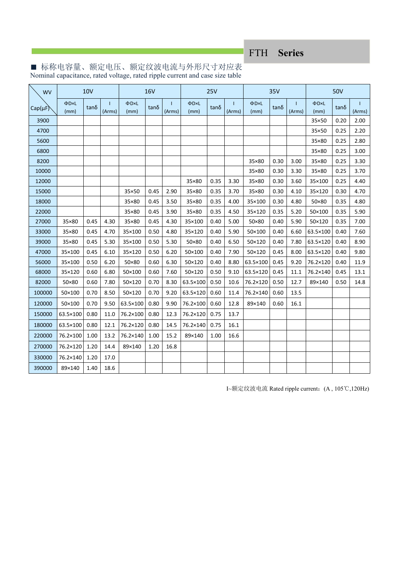FTH **Series**

| <b>WV</b>    | <b>10V</b>         |      |        | <b>16V</b>         |       |        | 25V                |      |                        | 35V                |             |             | 50V                |      |        |
|--------------|--------------------|------|--------|--------------------|-------|--------|--------------------|------|------------------------|--------------------|-------------|-------------|--------------------|------|--------|
| $Cap(\mu F)$ | $\Phi$ DxL<br>(mm) | tanδ | (Arms) | $\Phi$ DxL<br>(mm) | tan δ | (Arms) | $\Phi$ DxL<br>(mm) | tanδ | $\mathbf{I}$<br>(Arms) | $\Phi$ DxL<br>(mm) | $tan\delta$ | 1<br>(Arms) | $\Phi$ DxL<br>(mm) | tanδ | (Arms) |
| 3900         |                    |      |        |                    |       |        |                    |      |                        |                    |             |             | 35×50              | 0.20 | 2.00   |
| 4700         |                    |      |        |                    |       |        |                    |      |                        |                    |             |             | 35×50              | 0.25 | 2.20   |
| 5600         |                    |      |        |                    |       |        |                    |      |                        |                    |             |             | 35×80              | 0.25 | 2.80   |
| 6800         |                    |      |        |                    |       |        |                    |      |                        |                    |             |             | 35×80              | 0.25 | 3.00   |
| 8200         |                    |      |        |                    |       |        |                    |      |                        | 35×80              | 0.30        | 3.00        | 35×80              | 0.25 | 3.30   |
| 10000        |                    |      |        |                    |       |        |                    |      |                        | 35×80              | 0.30        | 3.30        | 35×80              | 0.25 | 3.70   |
| 12000        |                    |      |        |                    |       |        | 35×80              | 0.35 | 3.30                   | 35×80              | 0.30        | 3.60        | 35×100             | 0.25 | 4.40   |
| 15000        |                    |      |        | 35×50              | 0.45  | 2.90   | 35×80              | 0.35 | 3.70                   | 35×80              | 0.30        | 4.10        | 35×120             | 0.30 | 4.70   |
| 18000        |                    |      |        | 35×80              | 0.45  | 3.50   | 35×80              | 0.35 | 4.00                   | 35×100             | 0.30        | 4.80        | 50×80              | 0.35 | 4.80   |
| 22000        |                    |      |        | 35×80              | 0.45  | 3.90   | 35×80              | 0.35 | 4.50                   | 35×120             | 0.35        | 5.20        | 50×100             | 0.35 | 5.90   |
| 27000        | 35×80              | 0.45 | 4.30   | 35×80              | 0.45  | 4.30   | 35×100             | 0.40 | 5.00                   | 50×80              | 0.40        | 5.90        | 50×120             | 0.35 | 7.00   |
| 33000        | 35×80              | 0.45 | 4.70   | 35×100             | 0.50  | 4.80   | 35×120             | 0.40 | 5.90                   | 50×100             | 0.40        | 6.60        | 63.5×100           | 0.40 | 7.60   |
| 39000        | 35×80              | 0.45 | 5.30   | 35×100             | 0.50  | 5.30   | 50×80              | 0.40 | 6.50                   | 50×120             | 0.40        | 7.80        | 63.5×120           | 0.40 | 8.90   |
| 47000        | 35×100             | 0.45 | 6.10   | 35×120             | 0.50  | 6.20   | 50×100             | 0.40 | 7.90                   | 50×120             | 0.45        | 8.00        | 63.5×120           | 0.40 | 9.80   |
| 56000        | 35×100             | 0.50 | 6.20   | 50×80              | 0.60  | 6.30   | 50×120             | 0.40 | 8.80                   | 63.5×100           | 0.45        | 9.20        | 76.2×120           | 0.40 | 11.9   |
| 68000        | 35×120             | 0.60 | 6.80   | 50×100             | 0.60  | 7.60   | 50×120             | 0.50 | 9.10                   | 63.5×120           | 0.45        | 11.1        | 76.2×140           | 0.45 | 13.1   |
| 82000        | 50×80              | 0.60 | 7.80   | 50×120             | 0.70  | 8.30   | 63.5×100           | 0.50 | 10.6                   | 76.2×120           | 0.50        | 12.7        | 89×140             | 0.50 | 14.8   |
| 100000       | 50×100             | 0.70 | 8.50   | 50×120             | 0.70  | 9.20   | 63.5×120           | 0.60 | 11.4                   | 76.2×140           | 0.60        | 13.5        |                    |      |        |
| 120000       | 50×100             | 0.70 | 9.50   | 63.5×100           | 0.80  | 9.90   | 76.2×100           | 0.60 | 12.8                   | 89×140             | 0.60        | 16.1        |                    |      |        |
| 150000       | 63.5×100           | 0.80 | 11.0   | 76.2×100           | 0.80  | 12.3   | 76.2×120           | 0.75 | 13.7                   |                    |             |             |                    |      |        |
| 180000       | 63.5×100           | 0.80 | 12.1   | 76.2×120           | 0.80  | 14.5   | 76.2×140           | 0.75 | 16.1                   |                    |             |             |                    |      |        |
| 220000       | 76.2×100           | 1.00 | 13.2   | 76.2×140           | 1.00  | 15.2   | 89×140             | 1.00 | 16.6                   |                    |             |             |                    |      |        |
| 270000       | 76.2×120           | 1.20 | 14.4   | 89×140             | 1.20  | 16.8   |                    |      |                        |                    |             |             |                    |      |        |
| 330000       | 76.2×140           | 1.20 | 17.0   |                    |       |        |                    |      |                        |                    |             |             |                    |      |        |
| 390000       | 89×140             | 1.40 | 18.6   |                    |       |        |                    |      |                        |                    |             |             |                    |      |        |

■ 标称电容量、额定电压、额定纹波电流与外形尺寸对应表 Nominal capacitance, rated voltage, rated ripple currentand case size table

I~额定纹波电流 Rated ripple current:(A , 105℃,120Hz)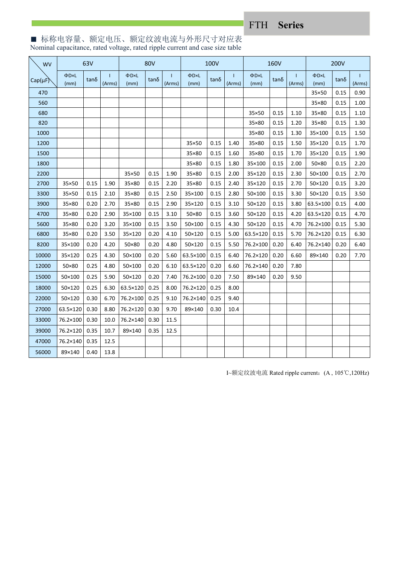FTH **Series**

■ 标称电容量、额定电压、额定纹波电流与外形尺寸对应表 Nominal capacitance, rated voltage, rated ripple currentand case size table

| WV           | 63V                |      |              | 80V          |             |              | 100V               |      |                        | 160V         |      |                        | 200V         |             |                        |
|--------------|--------------------|------|--------------|--------------|-------------|--------------|--------------------|------|------------------------|--------------|------|------------------------|--------------|-------------|------------------------|
| $Cap(\mu F)$ | $\Phi$ DxL<br>(mm) | tanδ | Т.<br>(Arms) | ФD×L<br>(mm) | $tan\delta$ | Т.<br>(Arms) | $\Phi$ DxL<br>(mm) | tanδ | $\mathbf{I}$<br>(Arms) | ФD×L<br>(mm) | tanδ | $\mathbf{L}$<br>(Arms) | ФD×L<br>(mm) | $tan\delta$ | $\mathbf{I}$<br>(Arms) |
| 470          |                    |      |              |              |             |              |                    |      |                        |              |      |                        | 35×50        | 0.15        | 0.90                   |
| 560          |                    |      |              |              |             |              |                    |      |                        |              |      |                        | 35×80        | 0.15        | 1.00                   |
| 680          |                    |      |              |              |             |              |                    |      |                        | 35×50        | 0.15 | 1.10                   | 35×80        | 0.15        | 1.10                   |
| 820          |                    |      |              |              |             |              |                    |      |                        | 35×80        | 0.15 | 1.20                   | 35×80        | 0.15        | 1.30                   |
| 1000         |                    |      |              |              |             |              |                    |      |                        | 35×80        | 0.15 | 1.30                   | 35×100       | 0.15        | 1.50                   |
| 1200         |                    |      |              |              |             |              | 35×50              | 0.15 | 1.40                   | 35×80        | 0.15 | 1.50                   | 35×120       | 0.15        | 1.70                   |
| 1500         |                    |      |              |              |             |              | 35×80              | 0.15 | 1.60                   | 35×80        | 0.15 | 1.70                   | 35×120       | 0.15        | 1.90                   |
| 1800         |                    |      |              |              |             |              | 35×80              | 0.15 | 1.80                   | 35×100       | 0.15 | 2.00                   | 50×80        | 0.15        | 2.20                   |
| 2200         |                    |      |              | 35×50        | 0.15        | 1.90         | 35×80              | 0.15 | 2.00                   | 35×120       | 0.15 | 2.30                   | 50×100       | 0.15        | 2.70                   |
| 2700         | 35×50              | 0.15 | 1.90         | 35×80        | 0.15        | 2.20         | 35×80              | 0.15 | 2.40                   | 35×120       | 0.15 | 2.70                   | 50×120       | 0.15        | 3.20                   |
| 3300         | 35×50              | 0.15 | 2.10         | 35×80        | 0.15        | 2.50         | 35×100             | 0.15 | 2.80                   | 50×100       | 0.15 | 3.30                   | 50×120       | 0.15        | 3.50                   |
| 3900         | 35×80              | 0.20 | 2.70         | 35×80        | 0.15        | 2.90         | 35×120             | 0.15 | 3.10                   | 50×120       | 0.15 | 3.80                   | 63.5×100     | 0.15        | 4.00                   |
| 4700         | 35×80              | 0.20 | 2.90         | 35×100       | 0.15        | 3.10         | 50×80              | 0.15 | 3.60                   | 50×120       | 0.15 | 4.20                   | 63.5×120     | 0.15        | 4.70                   |
| 5600         | 35×80              | 0.20 | 3.20         | 35×100       | 0.15        | 3.50         | 50×100             | 0.15 | 4.30                   | 50×120       | 0.15 | 4.70                   | 76.2×100     | 0.15        | 5.30                   |
| 6800         | 35×80              | 0.20 | 3.50         | 35×120       | 0.20        | 4.10         | 50×120             | 0.15 | 5.00                   | 63.5×120     | 0.15 | 5.70                   | 76.2×120     | 0.15        | 6.30                   |
| 8200         | 35×100             | 0.20 | 4.20         | 50×80        | 0.20        | 4.80         | 50×120             | 0.15 | 5.50                   | 76.2×100     | 0.20 | 6.40                   | 76.2×140     | 0.20        | 6.40                   |
| 10000        | 35×120             | 0.25 | 4.30         | 50×100       | 0.20        | 5.60         | 63.5×100           | 0.15 | 6.40                   | 76.2×120     | 0.20 | 6.60                   | 89×140       | 0.20        | 7.70                   |
| 12000        | 50×80              | 0.25 | 4.80         | 50×100       | 0.20        | 6.10         | 63.5×120           | 0.20 | 6.60                   | 76.2×140     | 0.20 | 7.80                   |              |             |                        |
| 15000        | 50×100             | 0.25 | 5.90         | 50×120       | 0.20        | 7.40         | 76.2×100           | 0.20 | 7.50                   | 89×140       | 0.20 | 9.50                   |              |             |                        |
| 18000        | 50×120             | 0.25 | 6.30         | 63.5×120     | 0.25        | 8.00         | 76.2×120           | 0.25 | 8.00                   |              |      |                        |              |             |                        |
| 22000        | 50×120             | 0.30 | 6.70         | 76.2×100     | 0.25        | 9.10         | 76.2×140           | 0.25 | 9.40                   |              |      |                        |              |             |                        |
| 27000        | 63.5×120           | 0.30 | 8.80         | 76.2×120     | 0.30        | 9.70         | 89×140             | 0.30 | 10.4                   |              |      |                        |              |             |                        |
| 33000        | 76.2×100           | 0.30 | 10.0         | 76.2×140     | 0.30        | 11.5         |                    |      |                        |              |      |                        |              |             |                        |
| 39000        | 76.2×120           | 0.35 | 10.7         | 89×140       | 0.35        | 12.5         |                    |      |                        |              |      |                        |              |             |                        |
| 47000        | 76.2×140           | 0.35 | 12.5         |              |             |              |                    |      |                        |              |      |                        |              |             |                        |
| 56000        | 89×140             | 0.40 | 13.8         |              |             |              |                    |      |                        |              |      |                        |              |             |                        |

I~额定纹波电流 Rated ripple current:(A , 105℃,120Hz)